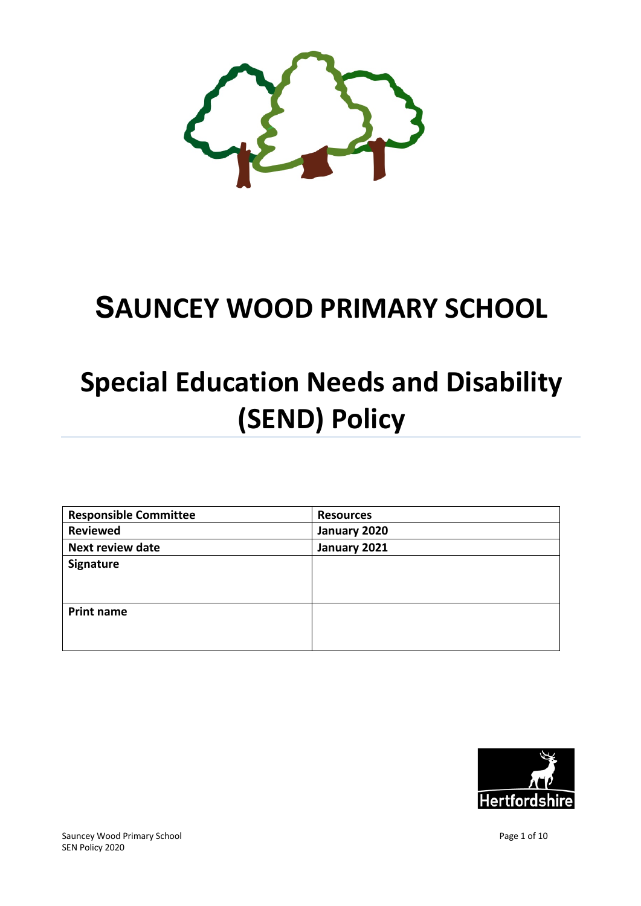

## **SAUNCEY WOOD PRIMARY SCHOOL**

# **Special Education Needs and Disability (SEND) Policy**

| <b>Responsible Committee</b> | <b>Resources</b> |
|------------------------------|------------------|
| <b>Reviewed</b>              | January 2020     |
| <b>Next review date</b>      | January 2021     |
| Signature                    |                  |
|                              |                  |
|                              |                  |
| <b>Print name</b>            |                  |
|                              |                  |
|                              |                  |

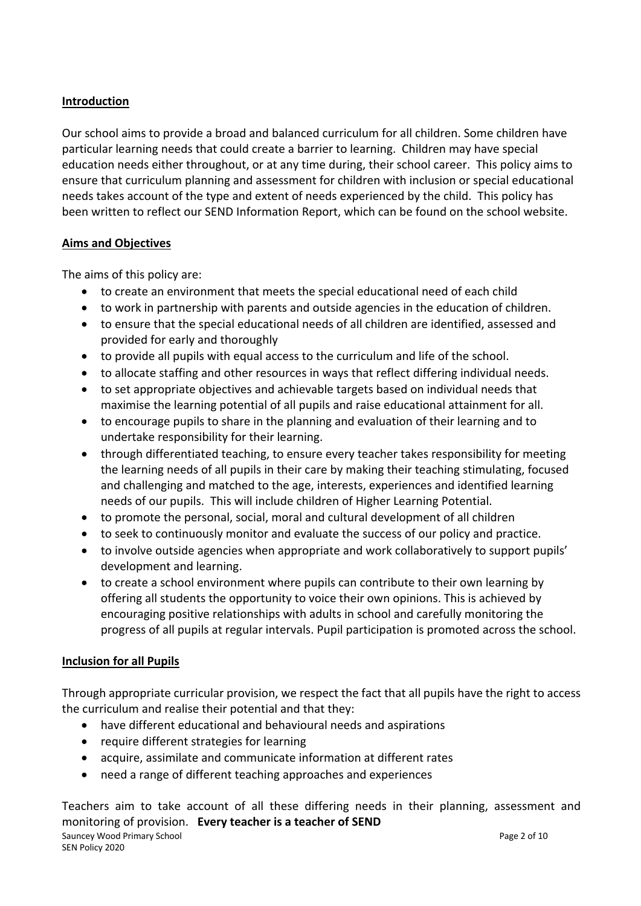## **Introduction**

Our school aims to provide a broad and balanced curriculum for all children. Some children have particular learning needs that could create a barrier to learning. Children may have special education needs either throughout, or at any time during, their school career. This policy aims to ensure that curriculum planning and assessment for children with inclusion or special educational needs takes account of the type and extent of needs experienced by the child. This policy has been written to reflect our SEND Information Report, which can be found on the school website.

## **Aims and Objectives**

The aims of this policy are:

- to create an environment that meets the special educational need of each child
- to work in partnership with parents and outside agencies in the education of children.
- to ensure that the special educational needs of all children are identified, assessed and provided for early and thoroughly
- to provide all pupils with equal access to the curriculum and life of the school.
- to allocate staffing and other resources in ways that reflect differing individual needs.
- to set appropriate objectives and achievable targets based on individual needs that maximise the learning potential of all pupils and raise educational attainment for all.
- to encourage pupils to share in the planning and evaluation of their learning and to undertake responsibility for their learning.
- through differentiated teaching, to ensure every teacher takes responsibility for meeting the learning needs of all pupils in their care by making their teaching stimulating, focused and challenging and matched to the age, interests, experiences and identified learning needs of our pupils. This will include children of Higher Learning Potential.
- to promote the personal, social, moral and cultural development of all children
- to seek to continuously monitor and evaluate the success of our policy and practice.
- to involve outside agencies when appropriate and work collaboratively to support pupils' development and learning.
- to create a school environment where pupils can contribute to their own learning by offering all students the opportunity to voice their own opinions. This is achieved by encouraging positive relationships with adults in school and carefully monitoring the progress of all pupils at regular intervals. Pupil participation is promoted across the school.

## **Inclusion for all Pupils**

Through appropriate curricular provision, we respect the fact that all pupils have the right to access the curriculum and realise their potential and that they:

- have different educational and behavioural needs and aspirations
- require different strategies for learning
- acquire, assimilate and communicate information at different rates
- need a range of different teaching approaches and experiences

Sauncey Wood Primary School **Page 2 of 10** SEN Policy 2020 Teachers aim to take account of all these differing needs in their planning, assessment and monitoring of provision. **Every teacher is a teacher of SEND**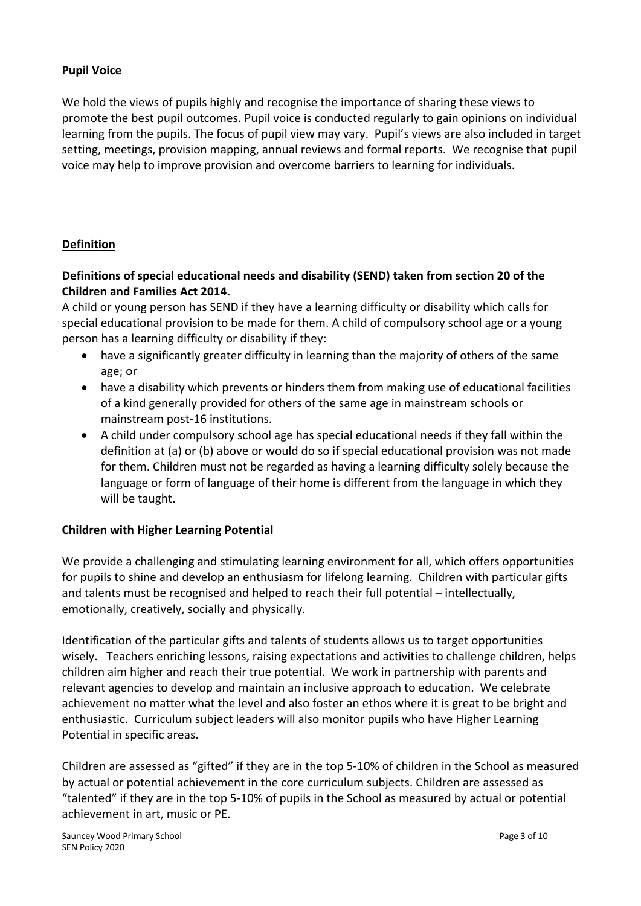## **Pupil Voice**

We hold the views of pupils highly and recognise the importance of sharing these views to promote the best pupil outcomes. Pupil voice is conducted regularly to gain opinions on individual learning from the pupils. The focus of pupil view may vary. Pupil's views are also included in target setting, meetings, provision mapping, annual reviews and formal reports. We recognise that pupil voice may help to improve provision and overcome barriers to learning for individuals.

#### **Definition**

## **Definitions of special educational needs and disability (SEND) taken from section 20 of the Children and Families Act 2014.**

A child or young person has SEND if they have a learning difficulty or disability which calls for special educational provision to be made for them. A child of compulsory school age or a young person has a learning difficulty or disability if they:

- have a significantly greater difficulty in learning than the majority of others of the same age; or
- have a disability which prevents or hinders them from making use of educational facilities of a kind generally provided for others of the same age in mainstream schools or mainstream post-16 institutions.
- A child under compulsory school age has special educational needs if they fall within the definition at (a) or (b) above or would do so if special educational provision was not made for them. Children must not be regarded as having a learning difficulty solely because the language or form of language of their home is different from the language in which they will be taught.

#### **Children with Higher Learning Potential**

We provide a challenging and stimulating learning environment for all, which offers opportunities for pupils to shine and develop an enthusiasm for lifelong learning. Children with particular gifts and talents must be recognised and helped to reach their full potential – intellectually, emotionally, creatively, socially and physically.

Identification of the particular gifts and talents of students allows us to target opportunities wisely. Teachers enriching lessons, raising expectations and activities to challenge children, helps children aim higher and reach their true potential. We work in partnership with parents and relevant agencies to develop and maintain an inclusive approach to education. We celebrate achievement no matter what the level and also foster an ethos where it is great to be bright and enthusiastic. Curriculum subject leaders will also monitor pupils who have Higher Learning Potential in specific areas.

Children are assessed as "gifted" if they are in the top 5-10% of children in the School as measured by actual or potential achievement in the core curriculum subjects. Children are assessed as "talented" if they are in the top 5-10% of pupils in the School as measured by actual or potential achievement in art, music or PE.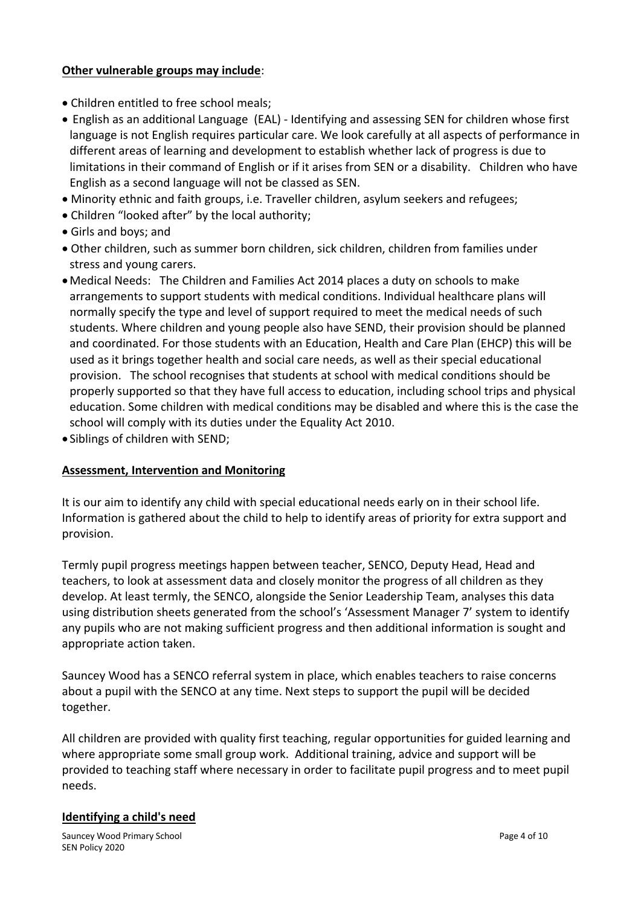#### **Other vulnerable groups may include**:

- Children entitled to free school meals;
- English as an additional Language (EAL) Identifying and assessing SEN for children whose first language is not English requires particular care. We look carefully at all aspects of performance in different areas of learning and development to establish whether lack of progress is due to limitations in their command of English or if it arises from SEN or a disability. Children who have English as a second language will not be classed as SEN.
- Minority ethnic and faith groups, i.e. Traveller children, asylum seekers and refugees;
- Children "looked after" by the local authority;
- Girls and boys; and
- Other children, such as summer born children, sick children, children from families under stress and young carers.
- •Medical Needs: The Children and Families Act 2014 places a duty on schools to make arrangements to support students with medical conditions. Individual healthcare plans will normally specify the type and level of support required to meet the medical needs of such students. Where children and young people also have SEND, their provision should be planned and coordinated. For those students with an Education, Health and Care Plan (EHCP) this will be used as it brings together health and social care needs, as well as their special educational provision. The school recognises that students at school with medical conditions should be properly supported so that they have full access to education, including school trips and physical education. Some children with medical conditions may be disabled and where this is the case the school will comply with its duties under the Equality Act 2010.
- Siblings of children with SEND;

## **Assessment, Intervention and Monitoring**

It is our aim to identify any child with special educational needs early on in their school life. Information is gathered about the child to help to identify areas of priority for extra support and provision.

Termly pupil progress meetings happen between teacher, SENCO, Deputy Head, Head and teachers, to look at assessment data and closely monitor the progress of all children as they develop. At least termly, the SENCO, alongside the Senior Leadership Team, analyses this data using distribution sheets generated from the school's 'Assessment Manager 7' system to identify any pupils who are not making sufficient progress and then additional information is sought and appropriate action taken.

Sauncey Wood has a SENCO referral system in place, which enables teachers to raise concerns about a pupil with the SENCO at any time. Next steps to support the pupil will be decided together.

All children are provided with quality first teaching, regular opportunities for guided learning and where appropriate some small group work. Additional training, advice and support will be provided to teaching staff where necessary in order to facilitate pupil progress and to meet pupil needs.

#### **Identifying a child's need**

Sauncey Wood Primary School **Page 4 of 10** Sauncey Page 4 of 10 SEN Policy 2020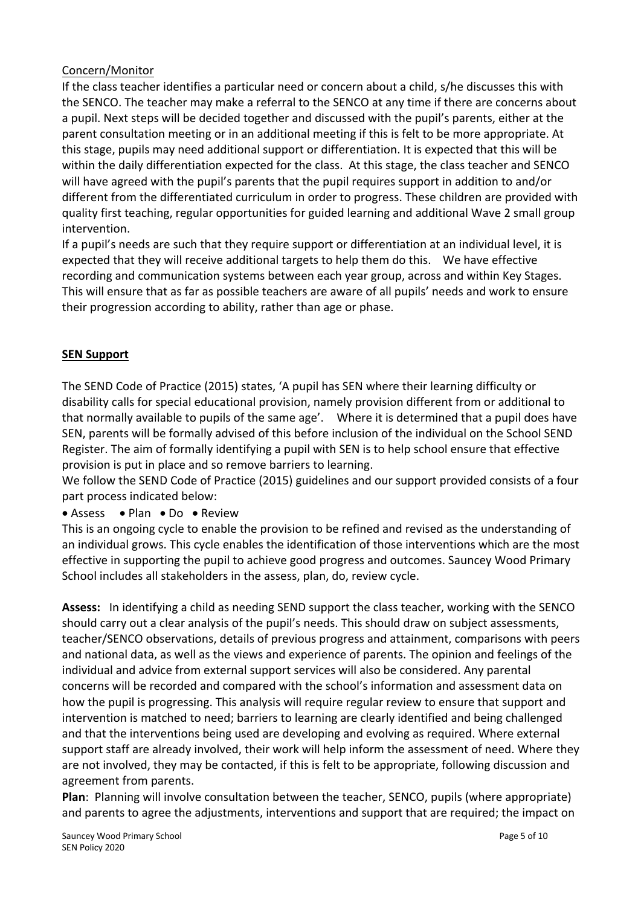## Concern/Monitor

If the class teacher identifies a particular need or concern about a child, s/he discusses this with the SENCO. The teacher may make a referral to the SENCO at any time if there are concerns about a pupil. Next steps will be decided together and discussed with the pupil's parents, either at the parent consultation meeting or in an additional meeting if this is felt to be more appropriate. At this stage, pupils may need additional support or differentiation. It is expected that this will be within the daily differentiation expected for the class. At this stage, the class teacher and SENCO will have agreed with the pupil's parents that the pupil requires support in addition to and/or different from the differentiated curriculum in order to progress. These children are provided with quality first teaching, regular opportunities for guided learning and additional Wave 2 small group intervention.

If a pupil's needs are such that they require support or differentiation at an individual level, it is expected that they will receive additional targets to help them do this. We have effective recording and communication systems between each year group, across and within Key Stages. This will ensure that as far as possible teachers are aware of all pupils' needs and work to ensure their progression according to ability, rather than age or phase.

## **SEN Support**

The SEND Code of Practice (2015) states, 'A pupil has SEN where their learning difficulty or disability calls for special educational provision, namely provision different from or additional to that normally available to pupils of the same age'. Where it is determined that a pupil does have SEN, parents will be formally advised of this before inclusion of the individual on the School SEND Register. The aim of formally identifying a pupil with SEN is to help school ensure that effective provision is put in place and so remove barriers to learning.

We follow the SEND Code of Practice (2015) guidelines and our support provided consists of a four part process indicated below:

• Assess • Plan • Do • Review

This is an ongoing cycle to enable the provision to be refined and revised as the understanding of an individual grows. This cycle enables the identification of those interventions which are the most effective in supporting the pupil to achieve good progress and outcomes. Sauncey Wood Primary School includes all stakeholders in the assess, plan, do, review cycle.

**Assess:** In identifying a child as needing SEND support the class teacher, working with the SENCO should carry out a clear analysis of the pupil's needs. This should draw on subject assessments, teacher/SENCO observations, details of previous progress and attainment, comparisons with peers and national data, as well as the views and experience of parents. The opinion and feelings of the individual and advice from external support services will also be considered. Any parental concerns will be recorded and compared with the school's information and assessment data on how the pupil is progressing. This analysis will require regular review to ensure that support and intervention is matched to need; barriers to learning are clearly identified and being challenged and that the interventions being used are developing and evolving as required. Where external support staff are already involved, their work will help inform the assessment of need. Where they are not involved, they may be contacted, if this is felt to be appropriate, following discussion and agreement from parents.

**Plan**: Planning will involve consultation between the teacher, SENCO, pupils (where appropriate) and parents to agree the adjustments, interventions and support that are required; the impact on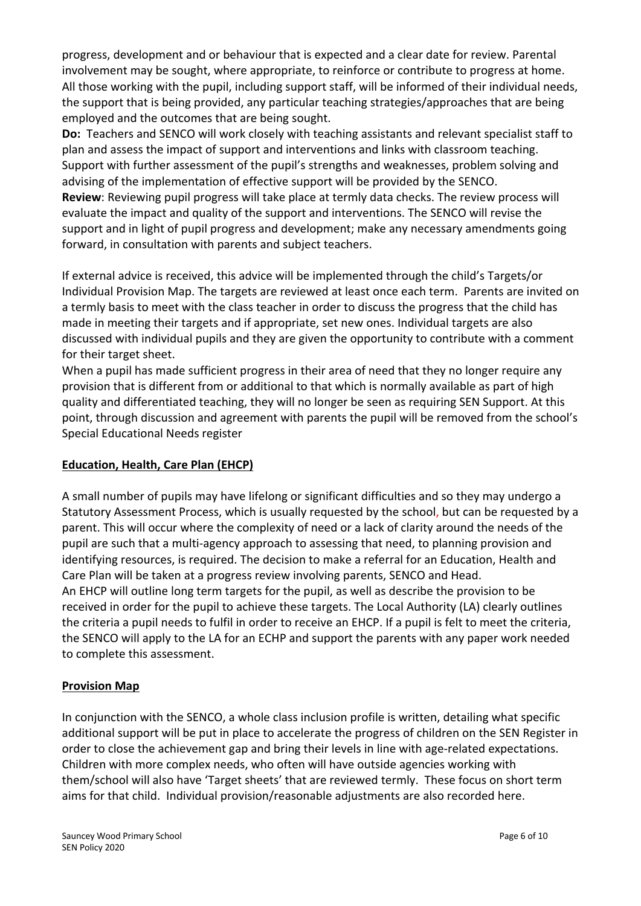progress, development and or behaviour that is expected and a clear date for review. Parental involvement may be sought, where appropriate, to reinforce or contribute to progress at home. All those working with the pupil, including support staff, will be informed of their individual needs, the support that is being provided, any particular teaching strategies/approaches that are being employed and the outcomes that are being sought.

**Do:** Teachers and SENCO will work closely with teaching assistants and relevant specialist staff to plan and assess the impact of support and interventions and links with classroom teaching. Support with further assessment of the pupil's strengths and weaknesses, problem solving and advising of the implementation of effective support will be provided by the SENCO. **Review**: Reviewing pupil progress will take place at termly data checks. The review process will evaluate the impact and quality of the support and interventions. The SENCO will revise the support and in light of pupil progress and development; make any necessary amendments going forward, in consultation with parents and subject teachers.

If external advice is received, this advice will be implemented through the child's Targets/or Individual Provision Map. The targets are reviewed at least once each term. Parents are invited on a termly basis to meet with the class teacher in order to discuss the progress that the child has made in meeting their targets and if appropriate, set new ones. Individual targets are also discussed with individual pupils and they are given the opportunity to contribute with a comment for their target sheet.

When a pupil has made sufficient progress in their area of need that they no longer require any provision that is different from or additional to that which is normally available as part of high quality and differentiated teaching, they will no longer be seen as requiring SEN Support. At this point, through discussion and agreement with parents the pupil will be removed from the school's Special Educational Needs register

## **Education, Health, Care Plan (EHCP)**

A small number of pupils may have lifelong or significant difficulties and so they may undergo a Statutory Assessment Process, which is usually requested by the school, but can be requested by a parent. This will occur where the complexity of need or a lack of clarity around the needs of the pupil are such that a multi-agency approach to assessing that need, to planning provision and identifying resources, is required. The decision to make a referral for an Education, Health and Care Plan will be taken at a progress review involving parents, SENCO and Head. An EHCP will outline long term targets for the pupil, as well as describe the provision to be received in order for the pupil to achieve these targets. The Local Authority (LA) clearly outlines the criteria a pupil needs to fulfil in order to receive an EHCP. If a pupil is felt to meet the criteria, the SENCO will apply to the LA for an ECHP and support the parents with any paper work needed to complete this assessment.

## **Provision Map**

In conjunction with the SENCO, a whole class inclusion profile is written, detailing what specific additional support will be put in place to accelerate the progress of children on the SEN Register in order to close the achievement gap and bring their levels in line with age-related expectations. Children with more complex needs, who often will have outside agencies working with them/school will also have 'Target sheets' that are reviewed termly. These focus on short term aims for that child. Individual provision/reasonable adjustments are also recorded here.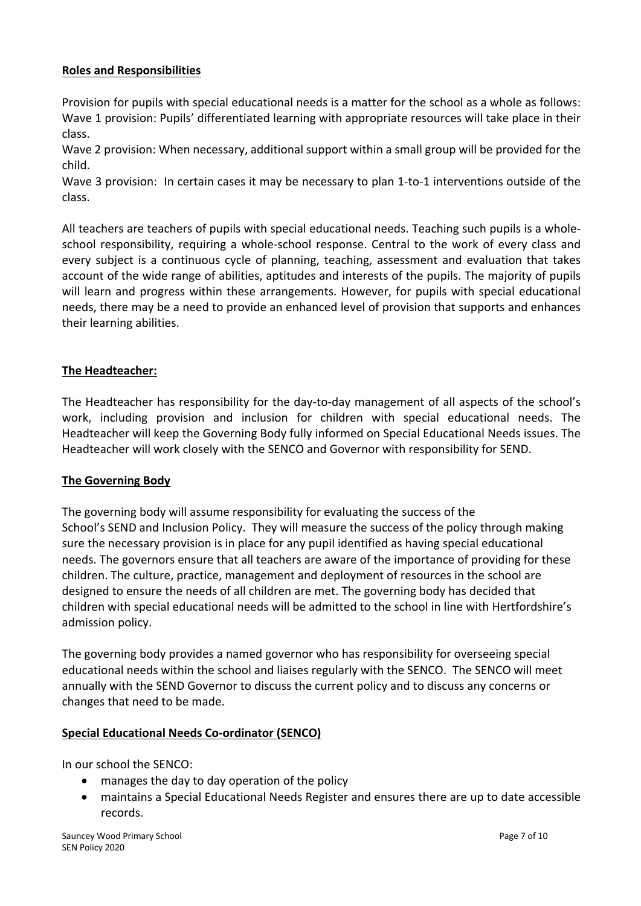#### **Roles and Responsibilities**

Provision for pupils with special educational needs is a matter for the school as a whole as follows: Wave 1 provision: Pupils' differentiated learning with appropriate resources will take place in their class.

Wave 2 provision: When necessary, additional support within a small group will be provided for the child.

Wave 3 provision: In certain cases it may be necessary to plan 1-to-1 interventions outside of the class.

All teachers are teachers of pupils with special educational needs. Teaching such pupils is a wholeschool responsibility, requiring a whole-school response. Central to the work of every class and every subject is a continuous cycle of planning, teaching, assessment and evaluation that takes account of the wide range of abilities, aptitudes and interests of the pupils. The majority of pupils will learn and progress within these arrangements. However, for pupils with special educational needs, there may be a need to provide an enhanced level of provision that supports and enhances their learning abilities.

#### **The Headteacher:**

The Headteacher has responsibility for the day-to-day management of all aspects of the school's work, including provision and inclusion for children with special educational needs. The Headteacher will keep the Governing Body fully informed on Special Educational Needs issues. The Headteacher will work closely with the SENCO and Governor with responsibility for SEND.

#### **The Governing Body**

The governing body will assume responsibility for evaluating the success of the School's SEND and Inclusion Policy. They will measure the success of the policy through making sure the necessary provision is in place for any pupil identified as having special educational needs. The governors ensure that all teachers are aware of the importance of providing for these children. The culture, practice, management and deployment of resources in the school are designed to ensure the needs of all children are met. The governing body has decided that children with special educational needs will be admitted to the school in line with Hertfordshire's admission policy.

The governing body provides a named governor who has responsibility for overseeing special educational needs within the school and liaises regularly with the SENCO. The SENCO will meet annually with the SEND Governor to discuss the current policy and to discuss any concerns or changes that need to be made.

#### **Special Educational Needs Co-ordinator (SENCO)**

In our school the SENCO:

- manages the day to day operation of the policy
- maintains a Special Educational Needs Register and ensures there are up to date accessible records.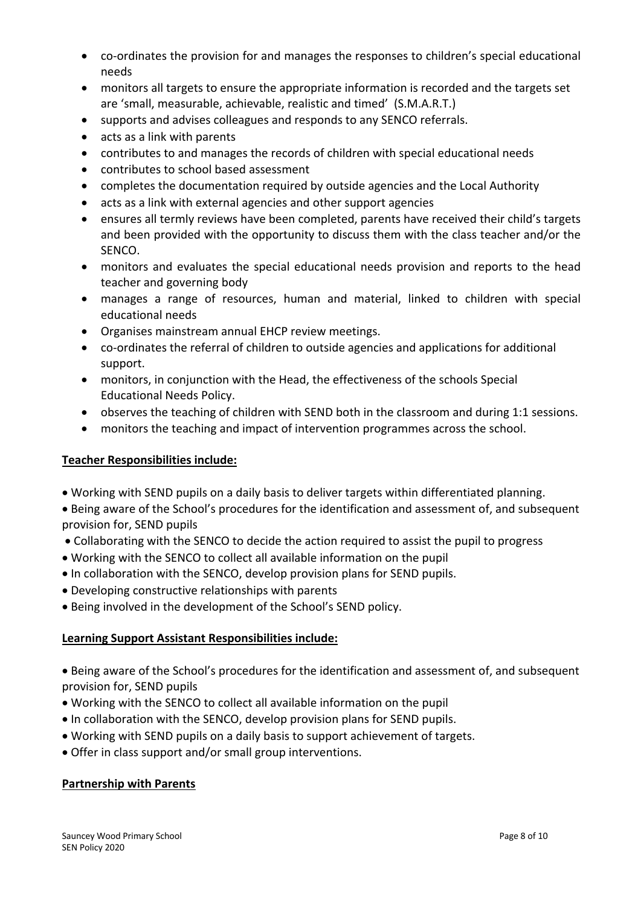- co-ordinates the provision for and manages the responses to children's special educational needs
- monitors all targets to ensure the appropriate information is recorded and the targets set are 'small, measurable, achievable, realistic and timed' (S.M.A.R.T.)
- supports and advises colleagues and responds to any SENCO referrals.
- acts as a link with parents
- contributes to and manages the records of children with special educational needs
- contributes to school based assessment
- completes the documentation required by outside agencies and the Local Authority
- acts as a link with external agencies and other support agencies
- ensures all termly reviews have been completed, parents have received their child's targets and been provided with the opportunity to discuss them with the class teacher and/or the SENCO.
- monitors and evaluates the special educational needs provision and reports to the head teacher and governing body
- manages a range of resources, human and material, linked to children with special educational needs
- Organises mainstream annual EHCP review meetings.
- co-ordinates the referral of children to outside agencies and applications for additional support.
- monitors, in conjunction with the Head, the effectiveness of the schools Special Educational Needs Policy.
- observes the teaching of children with SEND both in the classroom and during 1:1 sessions.
- monitors the teaching and impact of intervention programmes across the school.

#### **Teacher Responsibilities include:**

• Working with SEND pupils on a daily basis to deliver targets within differentiated planning.

• Being aware of the School's procedures for the identification and assessment of, and subsequent provision for, SEND pupils

- Collaborating with the SENCO to decide the action required to assist the pupil to progress
- Working with the SENCO to collect all available information on the pupil
- In collaboration with the SENCO, develop provision plans for SEND pupils.
- Developing constructive relationships with parents
- Being involved in the development of the School's SEND policy.

#### **Learning Support Assistant Responsibilities include:**

- Being aware of the School's procedures for the identification and assessment of, and subsequent provision for, SEND pupils
- Working with the SENCO to collect all available information on the pupil
- In collaboration with the SENCO, develop provision plans for SEND pupils.
- Working with SEND pupils on a daily basis to support achievement of targets.
- Offer in class support and/or small group interventions.

#### **Partnership with Parents**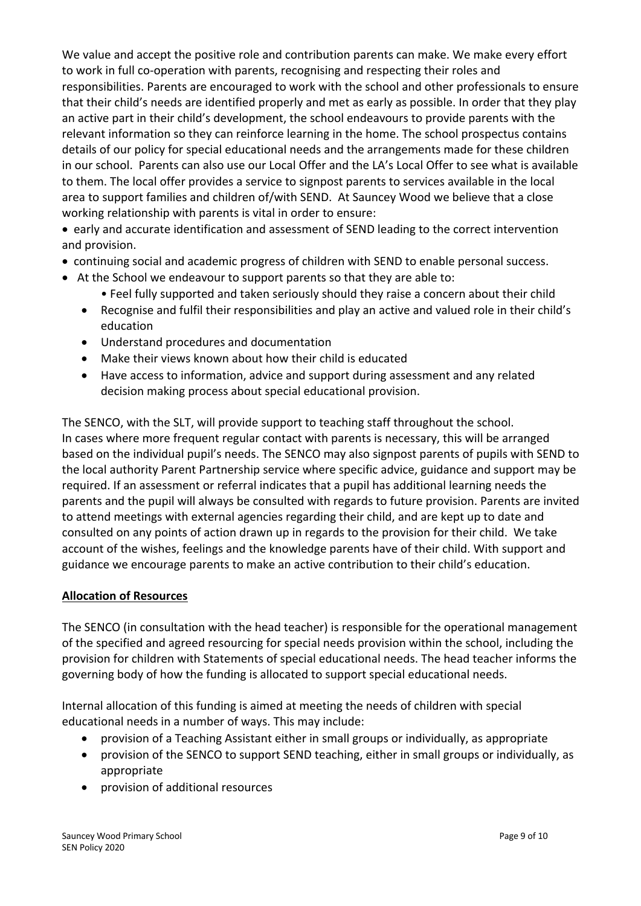We value and accept the positive role and contribution parents can make. We make every effort to work in full co-operation with parents, recognising and respecting their roles and responsibilities. Parents are encouraged to work with the school and other professionals to ensure that their child's needs are identified properly and met as early as possible. In order that they play an active part in their child's development, the school endeavours to provide parents with the relevant information so they can reinforce learning in the home. The school prospectus contains details of our policy for special educational needs and the arrangements made for these children in our school. Parents can also use our Local Offer and the LA's Local Offer to see what is available to them. The local offer provides a service to signpost parents to services available in the local area to support families and children of/with SEND. At Sauncey Wood we believe that a close working relationship with parents is vital in order to ensure:

• early and accurate identification and assessment of SEND leading to the correct intervention and provision.

- continuing social and academic progress of children with SEND to enable personal success.
- At the School we endeavour to support parents so that they are able to:
	- Feel fully supported and taken seriously should they raise a concern about their child
	- Recognise and fulfil their responsibilities and play an active and valued role in their child's education
	- Understand procedures and documentation
	- Make their views known about how their child is educated
	- Have access to information, advice and support during assessment and any related decision making process about special educational provision.

The SENCO, with the SLT, will provide support to teaching staff throughout the school. In cases where more frequent regular contact with parents is necessary, this will be arranged based on the individual pupil's needs. The SENCO may also signpost parents of pupils with SEND to the local authority Parent Partnership service where specific advice, guidance and support may be required. If an assessment or referral indicates that a pupil has additional learning needs the parents and the pupil will always be consulted with regards to future provision. Parents are invited to attend meetings with external agencies regarding their child, and are kept up to date and consulted on any points of action drawn up in regards to the provision for their child. We take account of the wishes, feelings and the knowledge parents have of their child. With support and guidance we encourage parents to make an active contribution to their child's education.

#### **Allocation of Resources**

The SENCO (in consultation with the head teacher) is responsible for the operational management of the specified and agreed resourcing for special needs provision within the school, including the provision for children with Statements of special educational needs. The head teacher informs the governing body of how the funding is allocated to support special educational needs.

Internal allocation of this funding is aimed at meeting the needs of children with special educational needs in a number of ways. This may include:

- provision of a Teaching Assistant either in small groups or individually, as appropriate
- provision of the SENCO to support SEND teaching, either in small groups or individually, as appropriate
- provision of additional resources